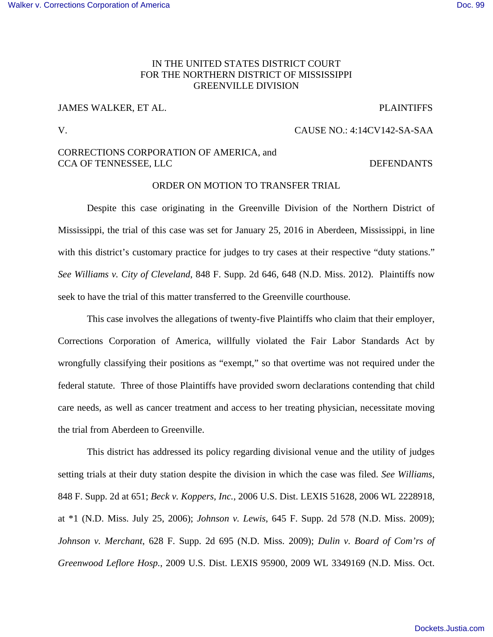### [Walker v. Corrections Corporation of America](https://dockets.justia.com/docket/mississippi/msndce/4:2014cv00142/36332/) **[Doc. 99](https://docs.justia.com/cases/federal/district-courts/mississippi/msndce/4:2014cv00142/36332/99/)** Note that the extent of the extent of America Doc. 99

## IN THE UNITED STATES DISTRICT COURT FOR THE NORTHERN DISTRICT OF MISSISSIPPI GREENVILLE DIVISION

# JAMES WALKER, ET AL. PLAINTIFFS

### V. CAUSE NO.: 4:14CV142-SA-SAA

## CORRECTIONS CORPORATION OF AMERICA, and CCA OF TENNESSEE, LLC DEFENDANTS

### ORDER ON MOTION TO TRANSFER TRIAL

 Despite this case originating in the Greenville Division of the Northern District of Mississippi, the trial of this case was set for January 25, 2016 in Aberdeen, Mississippi, in line with this district's customary practice for judges to try cases at their respective "duty stations." *See Williams v. City of Cleveland*, 848 F. Supp. 2d 646, 648 (N.D. Miss. 2012). Plaintiffs now seek to have the trial of this matter transferred to the Greenville courthouse.

 This case involves the allegations of twenty-five Plaintiffs who claim that their employer, Corrections Corporation of America, willfully violated the Fair Labor Standards Act by wrongfully classifying their positions as "exempt," so that overtime was not required under the federal statute. Three of those Plaintiffs have provided sworn declarations contending that child care needs, as well as cancer treatment and access to her treating physician, necessitate moving the trial from Aberdeen to Greenville.

 This district has addressed its policy regarding divisional venue and the utility of judges setting trials at their duty station despite the division in which the case was filed. *See Williams*, 848 F. Supp. 2d at 651; *Beck v. Koppers, Inc.*, 2006 U.S. Dist. LEXIS 51628, 2006 WL 2228918, at \*1 (N.D. Miss. July 25, 2006); *Johnson v. Lewis*, 645 F. Supp. 2d 578 (N.D. Miss. 2009); *Johnson v. Merchant*, 628 F. Supp. 2d 695 (N.D. Miss. 2009); *Dulin v. Board of Com'rs of Greenwood Leflore Hosp.*, 2009 U.S. Dist. LEXIS 95900, 2009 WL 3349169 (N.D. Miss. Oct.